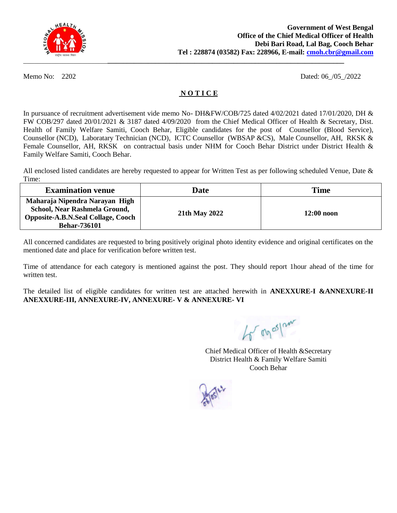

Memo No: 2202 Dated: 06 /05 /2022

#### **N O T I C E**

In pursuance of recruitment advertisement vide memo No- DH&FW/COB/725 dated 4/02/2021 dated 17/01/2020, DH & FW COB/297 dated 20/01/2021 & 3187 dated 4/09/2020 from the Chief Medical Officer of Health & Secretary, Dist. Health of Family Welfare Samiti, Cooch Behar, Eligible candidates for the post ofCounsellor (Blood Service), Counsellor (NCD), Laboratary Technician (NCD), ICTC Counsellor (WBSAP &CS), Male Counsellor, AH, RKSK & Female Counsellor, AH, RKSK on contractual basis under NHM for Cooch Behar District under District Health & Family Welfare Samiti, Cooch Behar.

All enclosed listed candidates are hereby requested to appear for Written Test as per following scheduled Venue, Date  $\&$ Time:

| <b>Examination venue</b>                                                                                                            | Date          | Time         |
|-------------------------------------------------------------------------------------------------------------------------------------|---------------|--------------|
| Maharaja Nipendra Narayan High<br>School, Near Rashmela Ground,<br><b>Opposite-A.B.N.Seal Collage, Cooch</b><br><b>Behar-736101</b> | 21th May 2022 | $12:00$ noon |

All concerned candidates are requested to bring positively original photo identity evidence and original certificates on the mentioned date and place for verification before written test.

Time of attendance for each category is mentioned against the post. They should report 1hour ahead of the time for written test.

The detailed list of eligible candidates for written test are attached herewith in **ANEXXURE-I &ANNEXURE-II ANEXXURE-III, ANNEXURE-IV, ANNEXURE- V & ANNEXURE- VI**

4 on ospon

Chief Medical Officer of Health &Secretary District Health & Family Welfare Samiti Cooch Behar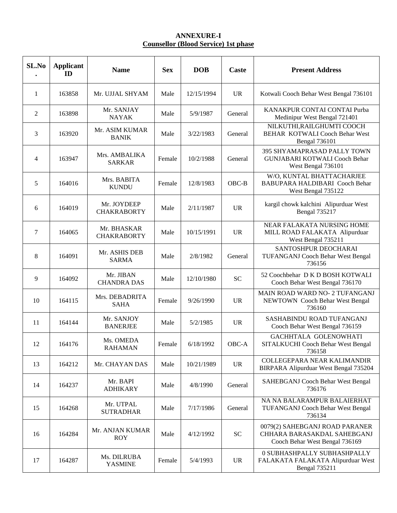#### **ANNEXURE-I Counsellor (Blood Service) 1st phase**

| SL.No          | <b>Applicant</b><br>ID | <b>Name</b>                       | <b>Sex</b> | <b>DOB</b> | Caste     | <b>Present Address</b>                                                                           |
|----------------|------------------------|-----------------------------------|------------|------------|-----------|--------------------------------------------------------------------------------------------------|
| 1              | 163858                 | Mr. UJJAL SHYAM                   | Male       | 12/15/1994 | <b>UR</b> | Kotwali Cooch Behar West Bengal 736101                                                           |
| $\overline{2}$ | 163898                 | Mr. SANJAY<br><b>NAYAK</b>        | Male       | 5/9/1987   | General   | KANAKPUR CONTAI CONTAI Purba<br>Medinipur West Bengal 721401                                     |
| 3              | 163920                 | Mr. ASIM KUMAR<br><b>BANIK</b>    | Male       | 3/22/1983  | General   | NILKUTHI, RAILGHUMTI COOCH<br><b>BEHAR KOTWALI Cooch Behar West</b><br><b>Bengal 736101</b>      |
| $\overline{4}$ | 163947                 | Mrs. AMBALIKA<br>SARKAR           | Female     | 10/2/1988  | General   | <b>395 SHYAMAPRASAD PALLY TOWN</b><br><b>GUNJABARI KOTWALI Cooch Behar</b><br>West Bengal 736101 |
| 5              | 164016                 | Mrs. BABITA<br><b>KUNDU</b>       | Female     | 12/8/1983  | $OBC-B$   | W/O, KUNTAL BHATTACHARJEE<br>BABUPARA HALDIBARI Cooch Behar<br>West Bengal 735122                |
| 6              | 164019                 | Mr. JOYDEEP<br><b>CHAKRABORTY</b> | Male       | 2/11/1987  | <b>UR</b> | kargil chowk kalchini Alipurduar West<br><b>Bengal 735217</b>                                    |
| 7              | 164065                 | Mr. BHASKAR<br><b>CHAKRABORTY</b> | Male       | 10/15/1991 | <b>UR</b> | NEAR FALAKATA NURSING HOME<br>MILL ROAD FALAKATA Alipurduar<br>West Bengal 735211                |
| 8              | 164091                 | Mr. ASHIS DEB<br><b>SARMA</b>     | Male       | 2/8/1982   | General   | SANTOSHPUR DEOCHARAI<br>TUFANGANJ Cooch Behar West Bengal<br>736156                              |
| 9              | 164092                 | Mr. JIBAN<br><b>CHANDRA DAS</b>   | Male       | 12/10/1980 | <b>SC</b> | 52 Coochbehar D K D BOSH KOTWALI<br>Cooch Behar West Bengal 736170                               |
| 10             | 164115                 | Mrs. DEBADRITA<br><b>SAHA</b>     | Female     | 9/26/1990  | <b>UR</b> | MAIN ROAD WARD NO- 2 TUFANGANJ<br>NEWTOWN Cooch Behar West Bengal<br>736160                      |
| 11             | 164144                 | Mr. SANJOY<br><b>BANERJEE</b>     | Male       | 5/2/1985   | <b>UR</b> | SASHABINDU ROAD TUFANGANJ<br>Cooch Behar West Bengal 736159                                      |
| 12             | 164176                 | Ms. OMEDA<br><b>RAHAMAN</b>       | Female     | 6/18/1992  | OBC-A     | GACHHTALA GOLENOWHATI<br>SITALKUCHI Cooch Behar West Bengal<br>736158                            |
| 13             | 164212                 | Mr. CHAYAN DAS                    | Male       | 10/21/1989 | <b>UR</b> | COLLEGEPARA NEAR KALIMANDIR<br>BIRPARA Alipurduar West Bengal 735204                             |
| 14             | 164237                 | Mr. BAPI<br><b>ADHIKARY</b>       | Male       | 4/8/1990   | General   | SAHEBGANJ Cooch Behar West Bengal<br>736176                                                      |
| 15             | 164268                 | Mr. UTPAL<br><b>SUTRADHAR</b>     | Male       | 7/17/1986  | General   | NA NA BALARAMPUR BALAIERHAT<br>TUFANGANJ Cooch Behar West Bengal<br>736134                       |
| 16             | 164284                 | Mr. ANJAN KUMAR<br><b>ROY</b>     | Male       | 4/12/1992  | <b>SC</b> | 0079(2) SAHEBGANJ ROAD PARANER<br>CHHARA BARASAKDAL SAHEBGANJ<br>Cooch Behar West Bengal 736169  |
| 17             | 164287                 | Ms. DILRUBA<br><b>YASMINE</b>     | Female     | 5/4/1993   | <b>UR</b> | 0 SUBHASHPALLY SUBHASHPALLY<br>FALAKATA FALAKATA Alipurduar West<br><b>Bengal 735211</b>         |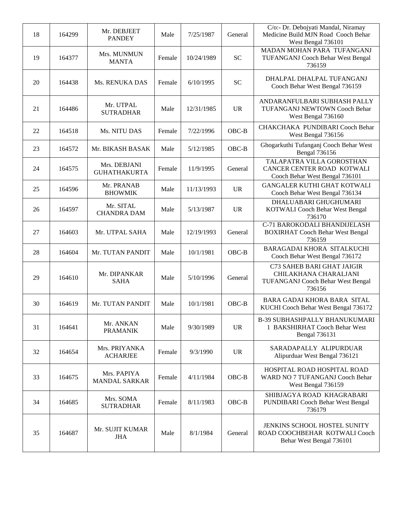| 18 | 164299 | Mr. DEBJEET<br><b>PANDEY</b>        | Male   | 7/25/1987  | General   | C/o:- Dr. Debojyati Mandal, Niramay<br>Medicine Build MJN Road Cooch Behar<br>West Bengal 736101   |
|----|--------|-------------------------------------|--------|------------|-----------|----------------------------------------------------------------------------------------------------|
| 19 | 164377 | Mrs. MUNMUN<br><b>MANTA</b>         | Female | 10/24/1989 | <b>SC</b> | MADAN MOHAN PARA TUFANGANJ<br>TUFANGANJ Cooch Behar West Bengal<br>736159                          |
| 20 | 164438 | Ms. RENUKA DAS                      | Female | 6/10/1995  | <b>SC</b> | DHALPAL DHALPAL TUFANGANJ<br>Cooch Behar West Bengal 736159                                        |
| 21 | 164486 | Mr. UTPAL<br><b>SUTRADHAR</b>       | Male   | 12/31/1985 | <b>UR</b> | ANDARANFULBARI SUBHASH PALLY<br>TUFANGANJ NEWTOWN Cooch Behar<br>West Bengal 736160                |
| 22 | 164518 | Ms. NITU DAS                        | Female | 7/22/1996  | $OBC-B$   | CHAKCHAKA PUNDIBARI Cooch Behar<br>West Bengal 736156                                              |
| 23 | 164572 | Mr. BIKASH BASAK                    | Male   | 5/12/1985  | OBC-B     | Ghogarkuthi Tufanganj Cooch Behar West<br><b>Bengal 736156</b>                                     |
| 24 | 164575 | Mrs. DEBJANI<br><b>GUHATHAKURTA</b> | Female | 11/9/1995  | General   | TALAPATRA VILLA GOROSTHAN<br>CANCER CENTER ROAD KOTWALI<br>Cooch Behar West Bengal 736101          |
| 25 | 164596 | Mr. PRANAB<br><b>BHOWMIK</b>        | Male   | 11/13/1993 | <b>UR</b> | <b>GANGALER KUTHI GHAT KOTWALI</b><br>Cooch Behar West Bengal 736134                               |
| 26 | 164597 | Mr. SITAL<br><b>CHANDRA DAM</b>     | Male   | 5/13/1987  | <b>UR</b> | DHALUABARI GHUGHUMARI<br>KOTWALI Cooch Behar West Bengal<br>736170                                 |
| 27 | 164603 | Mr. UTPAL SAHA                      | Male   | 12/19/1993 | General   | C-71 BAROKODALI BHANDIJELASH<br><b>BOXIRHAT Cooch Behar West Bengal</b><br>736159                  |
| 28 | 164604 | Mr. TUTAN PANDIT                    | Male   | 10/1/1981  | $OBC-B$   | BARAGADAI KHORA SITALKUCHI<br>Cooch Behar West Bengal 736172                                       |
| 29 | 164610 | Mr. DIPANKAR<br><b>SAHA</b>         | Male   | 5/10/1996  | General   | C73 SAHEB BARI GHAT JAIGIR<br>CHILAKHANA CHARALJANI<br>TUFANGANJ Cooch Behar West Bengal<br>736156 |
| 30 | 164619 | Mr. TUTAN PANDIT                    | Male   | 10/1/1981  | $OBC-B$   | BARA GADAI KHORA BARA SITAL<br>KUCHI Cooch Behar West Bengal 736172                                |
| 31 | 164641 | Mr. ANKAN<br><b>PRAMANIK</b>        | Male   | 9/30/1989  | <b>UR</b> | <b>B-39 SUBHASHPALLY BHANUKUMARI</b><br>1 BAKSHIRHAT Cooch Behar West<br><b>Bengal 736131</b>      |
| 32 | 164654 | Mrs. PRIYANKA<br><b>ACHARJEE</b>    | Female | 9/3/1990   | <b>UR</b> | SARADAPALLY ALIPURDUAR<br>Alipurduar West Bengal 736121                                            |
| 33 | 164675 | Mrs. PAPIYA<br><b>MANDAL SARKAR</b> | Female | 4/11/1984  | $OBC-B$   | HOSPITAL ROAD HOSPITAL ROAD<br>WARD NO 7 TUFANGANJ Cooch Behar<br>West Bengal 736159               |
| 34 | 164685 | Mrs. SOMA<br><b>SUTRADHAR</b>       | Female | 8/11/1983  | $OBC-B$   | SHIBJAGYA ROAD KHAGRABARI<br>PUNDIBARI Cooch Behar West Bengal<br>736179                           |
| 35 | 164687 | Mr. SUJIT KUMAR<br><b>JHA</b>       | Male   | 8/1/1984   | General   | JENKINS SCHOOL HOSTEL SUNITY<br>ROAD COOCHBEHAR KOTWALI Cooch<br>Behar West Bengal 736101          |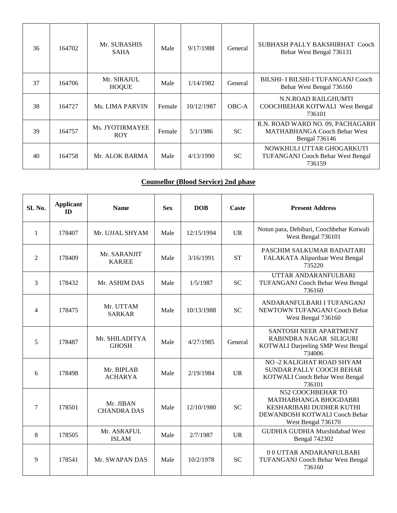| 36 | 164702 | Mr. SUBASHIS<br><b>SAHA</b>   | Male   | 9/17/1988  | General   | SUBHASH PALLY BAKSHIRHAT Cooch<br>Behar West Bengal 736131                                      |
|----|--------|-------------------------------|--------|------------|-----------|-------------------------------------------------------------------------------------------------|
| 37 | 164706 | Mr. SIRAJUL<br><b>HOQUE</b>   | Male   | 1/14/1982  | General   | BILSHI- I BILSHI-I TUFANGANI Cooch<br>Behar West Bengal 736160                                  |
| 38 | 164727 | <b>Ms. LIMA PARVIN</b>        | Female | 10/12/1987 | OBC-A     | N.N.ROAD RAILGHUMTI<br>COOCHBEHAR KOTWALI West Bengal<br>736101                                 |
| 39 | 164757 | Ms. JYOTIRMAYEE<br><b>ROY</b> | Female | 5/1/1986   | <b>SC</b> | R.N. ROAD WARD NO. 09, PACHAGARH<br><b>MATHABHANGA Cooch Behar West</b><br><b>Bengal</b> 736146 |
| 40 | 164758 | Mr. ALOK BARMA                | Male   | 4/13/1990  | <b>SC</b> | NOWKHULI UTTAR GHOGARKUTI<br><b>TUFANGANJ Cooch Behar West Bengal</b><br>736159                 |

#### **Counsellor (Blood Service) 2nd phase**

| SL <sub>No.</sub>        | <b>Applicant</b><br><b>ID</b> | <b>Name</b>                     | <b>Sex</b> | <b>DOB</b> | Caste     | <b>Present Address</b>                                                                                                        |
|--------------------------|-------------------------------|---------------------------------|------------|------------|-----------|-------------------------------------------------------------------------------------------------------------------------------|
| 1                        | 178407                        | Mr. UJJAL SHYAM                 | Male       | 12/15/1994 | <b>UR</b> | Notun para, Debibari, Coochbehar Kotwali<br>West Bengal 736101                                                                |
| 2                        | 178409                        | Mr. SARANJIT<br><b>KARJEE</b>   | Male       | 3/16/1991  | <b>ST</b> | PASCHIM SALKUMAR BADAITARI<br>FALAKATA Alipurduar West Bengal<br>735220                                                       |
| 3                        | 178432                        | Mr. ASHIM DAS                   | Male       | 1/5/1987   | <b>SC</b> | UTTAR ANDARANFULBARI<br><b>TUFANGANJ Cooch Behar West Bengal</b><br>736160                                                    |
| $\overline{\mathcal{A}}$ | 178475                        | Mr. UTTAM<br><b>SARKAR</b>      | Male       | 10/13/1988 | <b>SC</b> | ANDARANFULBARI I TUFANGANJ<br>NEWTOWN TUFANGANJ Cooch Behar<br>West Bengal 736160                                             |
| 5                        | 178487                        | Mr. SHILADITYA<br><b>GHOSH</b>  | Male       | 4/27/1985  | General   | SANTOSH NEER APARTMENT<br>RABINDRA NAGAR SILIGURI<br>KOTWALI Darjeeling SMP West Bengal<br>734006                             |
| 6                        | 178498                        | Mr. BIPLAB<br><b>ACHARYA</b>    | Male       | 2/19/1984  | UR        | NO-2 KALIGHAT ROAD SHYAM<br>SUNDAR PALLY COOCH BEHAR<br>KOTWALI Cooch Behar West Bengal<br>736101                             |
| 7                        | 178501                        | Mr. JIBAN<br><b>CHANDRA DAS</b> | Male       | 12/10/1980 | <b>SC</b> | N52 COOCHBEHAR TO<br>MATHABHANGA BHOGDABRI<br>KESHARIBARI DUDHER KUTHI<br>DEWANBOSH KOTWALI Cooch Behar<br>West Bengal 736170 |
| 8                        | 178505                        | Mr. ASRAFUL<br><b>ISLAM</b>     | Male       | 2/7/1987   | <b>UR</b> | <b>GUDHIA GUDHIA Murshidabad West</b><br><b>Bengal 742302</b>                                                                 |
| 9                        | 178541                        | Mr. SWAPAN DAS                  | Male       | 10/2/1978  | <b>SC</b> | 00 UTTAR ANDARANFULBARI<br>TUFANGANJ Cooch Behar West Bengal<br>736160                                                        |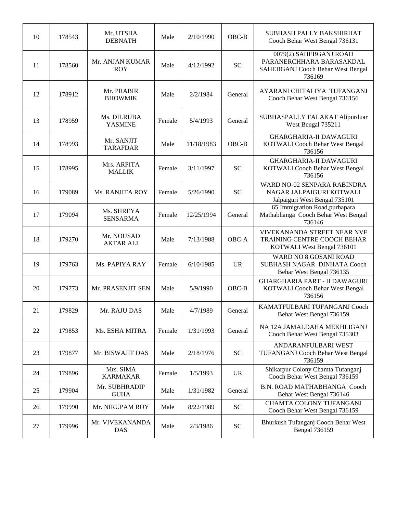| 10 | 178543 | Mr. UTSHA<br><b>DEBNATH</b>    | Male   | 2/10/1990  | OBC-B      | SUBHASH PALLY BAKSHIRHAT<br>Cooch Behar West Bengal 736131                                        |
|----|--------|--------------------------------|--------|------------|------------|---------------------------------------------------------------------------------------------------|
| 11 | 178560 | Mr. ANJAN KUMAR<br><b>ROY</b>  | Male   | 4/12/1992  | <b>SC</b>  | 0079(2) SAHEBGANJ ROAD<br>PARANERCHHARA BARASAKDAL<br>SAHEBGANJ Cooch Behar West Bengal<br>736169 |
| 12 | 178912 | Mr. PRABIR<br><b>BHOWMIK</b>   | Male   | 2/2/1984   | General    | AYARANI CHITALIYA TUFANGANJ<br>Cooch Behar West Bengal 736156                                     |
| 13 | 178959 | Ms. DILRUBA<br><b>YASMINE</b>  | Female | 5/4/1993   | General    | SUBHASPALLY FALAKAT Alipurduar<br>West Bengal 735211                                              |
| 14 | 178993 | Mr. SANJIT<br><b>TARAFDAR</b>  | Male   | 11/18/1983 | OBC-B      | <b>GHARGHARIA-II DAWAGURI</b><br>KOTWALI Cooch Behar West Bengal<br>736156                        |
| 15 | 178995 | Mrs. ARPITA<br><b>MALLIK</b>   | Female | 3/11/1997  | <b>SC</b>  | <b>GHARGHARIA-II DAWAGURI</b><br>KOTWALI Cooch Behar West Bengal<br>736156                        |
| 16 | 179089 | Ms. RANJITA ROY                | Female | 5/26/1990  | <b>SC</b>  | WARD NO-02 SENPARA RABINDRA<br>NAGAR JALPAIGURI KOTWALI<br>Jalpaiguri West Bengal 735101          |
| 17 | 179094 | Ms. SHREYA<br><b>SENSARMA</b>  | Female | 12/25/1994 | General    | 65 Immigration Road, purbapara<br>Mathabhanga Cooch Behar West Bengal<br>736146                   |
| 18 | 179270 | Mr. NOUSAD<br><b>AKTAR ALI</b> | Male   | 7/13/1988  | OBC-A      | VIVEKANANDA STREET NEAR NVF<br>TRAINING CENTRE COOCH BEHAR<br>KOTWALI West Bengal 736101          |
| 19 | 179763 | Ms. PAPIYA RAY                 | Female | 6/10/1985  | <b>UR</b>  | WARD NO 8 GOSANI ROAD<br>SUBHASH NAGAR DINHATA Cooch<br>Behar West Bengal 736135                  |
| 20 | 179773 | Mr. PRASENJIT SEN              | Male   | 5/9/1990   | OBC-B      | <b>GHARGHARIA PART - II DAWAGURI</b><br>KOTWALI Cooch Behar West Bengal<br>736156                 |
| 21 | 179829 | Mr. RAJU DAS                   | Male   | 4/7/1989   | General    | KAMATFULBARI TUFANGANJ Cooch<br>Behar West Bengal 736159                                          |
| 22 | 179853 | Ms. ESHA MITRA                 | Female | 1/31/1993  | General    | NA 12A JAMALDAHA MEKHLIGANJ<br>Cooch Behar West Bengal 735303                                     |
| 23 | 179877 | Mr. BISWAJIT DAS               | Male   | 2/18/1976  | <b>SC</b>  | ANDARANFULBARI WEST<br>TUFANGANJ Cooch Behar West Bengal<br>736159                                |
| 24 | 179896 | Mrs. SIMA<br><b>KARMAKAR</b>   | Female | 1/5/1993   | <b>UR</b>  | Shikarpur Colony Chamta Tufanganj<br>Cooch Behar West Bengal 736159                               |
| 25 | 179904 | Mr. SUBHRADIP<br><b>GUHA</b>   | Male   | 1/31/1982  | General    | <b>B.N. ROAD MATHABHANGA Cooch</b><br>Behar West Bengal 736146                                    |
| 26 | 179990 | Mr. NIRUPAM ROY                | Male   | 8/22/1989  | <b>SC</b>  | CHAMTA COLONY TUFANGANJ<br>Cooch Behar West Bengal 736159                                         |
| 27 | 179996 | Mr. VIVEKANANDA<br>DAS         | Male   | 2/3/1986   | ${\rm SC}$ | Bhurkush Tufanganj Cooch Behar West<br><b>Bengal 736159</b>                                       |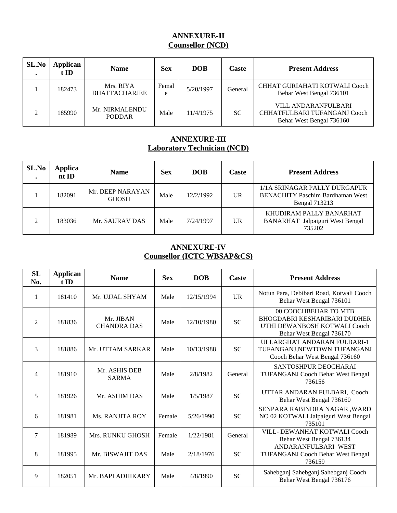## **ANNEXURE-II Counsellor (NCD)**

| SL.No | Applican<br>t ID | <b>Name</b>                       | <b>Sex</b> | <b>DOB</b> | Caste     | <b>Present Address</b>                                                                 |
|-------|------------------|-----------------------------------|------------|------------|-----------|----------------------------------------------------------------------------------------|
|       | 182473           | Mrs. RIYA<br><b>BHATTACHARJEE</b> | Femal<br>e | 5/20/1997  | General   | CHHAT GURIAHATI KOTWALI Cooch<br>Behar West Bengal 736101                              |
|       | 185990           | Mr. NIRMALENDU<br><b>PODDAR</b>   | Male       | 11/4/1975  | <b>SC</b> | <b>VILL ANDARANFULBARI</b><br>CHHATFULBARI TUFANGANJ Cooch<br>Behar West Bengal 736160 |

### **ANNEXURE-III Laboratory Technician (NCD)**

| SL.No | Applica<br>ntID | <b>Name</b>                      | <b>Sex</b> | <b>DOB</b> | Caste        | <b>Present Address</b>                                                                          |
|-------|-----------------|----------------------------------|------------|------------|--------------|-------------------------------------------------------------------------------------------------|
|       | 182091          | Mr. DEEP NARAYAN<br><b>GHOSH</b> | Male       | 12/2/1992  | $_{\rm{UR}}$ | 1/1A SRINAGAR PALLY DURGAPUR<br><b>BENACHITY Paschim Bardhaman West</b><br><b>Bengal 713213</b> |
|       | 183036          | Mr. SAURAV DAS                   | Male       | 7/24/1997  | <b>UR</b>    | KHUDIRAM PALLY BANARHAT<br><b>BANARHAT</b> Jalpaiguri West Bengal<br>735202                     |

# **ANNEXURE-IV Counsellor (ICTC WBSAP&CS)**

| SL<br>No. | <b>Applican</b><br>t ID | <b>Name</b>                     | <b>Sex</b> | <b>DOB</b> | Caste     | <b>Present Address</b>                                                                                                  |
|-----------|-------------------------|---------------------------------|------------|------------|-----------|-------------------------------------------------------------------------------------------------------------------------|
| 1         | 181410                  | Mr. UJJAL SHYAM                 | Male       | 12/15/1994 | <b>UR</b> | Notun Para, Debibari Road, Kotwali Cooch<br>Behar West Bengal 736101                                                    |
| 2         | 181836                  | Mr. JIBAN<br><b>CHANDRA DAS</b> | Male       | 12/10/1980 | <b>SC</b> | 00 COOCHBEHAR TO MTB<br><b>BHOGDABRI KESHARIBARI DUDHER</b><br>UTHI DEWANBOSH KOTWALI Cooch<br>Behar West Bengal 736170 |
| 3         | 181886                  | Mr. UTTAM SARKAR                | Male       | 10/13/1988 | <b>SC</b> | ULLARGHAT ANDARAN FULBARI-1<br>TUFANGANJ, NEWTOWN TUFANGANJ<br>Cooch Behar West Bengal 736160                           |
| 4         | 181910                  | Mr. ASHIS DEB<br><b>SARMA</b>   | Male       | 2/8/1982   | General   | SANTOSHPUR DEOCHARAI<br><b>TUFANGANJ Cooch Behar West Bengal</b><br>736156                                              |
| 5         | 181926                  | Mr. ASHIM DAS                   | Male       | 1/5/1987   | <b>SC</b> | UTTAR ANDARAN FULBARI, Cooch<br>Behar West Bengal 736160                                                                |
| 6         | 181981                  | Ms. RANJITA ROY                 | Female     | 5/26/1990  | <b>SC</b> | SENPARA RABINDRA NAGAR, WARD<br>NO 02 KOTWALI Jalpaiguri West Bengal<br>735101                                          |
| 7         | 181989                  | Mrs. RUNKU GHOSH                | Female     | 1/22/1981  | General   | VILL- DEWANHAT KOTWALI Cooch<br>Behar West Bengal 736134                                                                |
| 8         | 181995                  | Mr. BISWAJIT DAS                | Male       | 2/18/1976  | <b>SC</b> | ANDARANFULBARI WEST<br>TUFANGANJ Cooch Behar West Bengal<br>736159                                                      |
| 9         | 182051                  | Mr. BAPI ADHIKARY               | Male       | 4/8/1990   | <b>SC</b> | Sahebganj Sahebganj Sahebganj Cooch<br>Behar West Bengal 736176                                                         |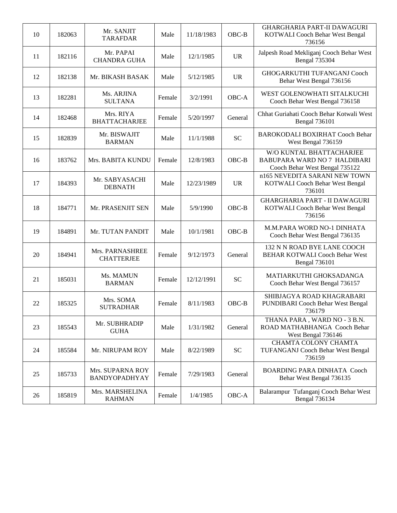| 10 | 182063 | Mr. SANJIT<br><b>TARAFDAR</b>            | Male   | 11/18/1983 | $OBC-B$   | <b>GHARGHARIA PART-II DAWAGURI</b><br>KOTWALI Cooch Behar West Bengal<br>736156              |
|----|--------|------------------------------------------|--------|------------|-----------|----------------------------------------------------------------------------------------------|
| 11 | 182116 | Mr. PAPAI<br><b>CHANDRA GUHA</b>         | Male   | 12/1/1985  | <b>UR</b> | Jalpesh Road Mekliganj Cooch Behar West<br><b>Bengal 735304</b>                              |
| 12 | 182138 | Mr. BIKASH BASAK                         | Male   | 5/12/1985  | <b>UR</b> | GHOGARKUTHI TUFANGANJ Cooch<br>Behar West Bengal 736156                                      |
| 13 | 182281 | Ms. ARJINA<br><b>SULTANA</b>             | Female | 3/2/1991   | OBC-A     | WEST GOLENOWHATI SITALKUCHI<br>Cooch Behar West Bengal 736158                                |
| 14 | 182468 | Mrs. RIYA<br><b>BHATTACHARJEE</b>        | Female | 5/20/1997  | General   | Chhat Guriahati Cooch Behar Kotwali West<br><b>Bengal 736101</b>                             |
| 15 | 182839 | Mr. BISWAJIT<br><b>BARMAN</b>            | Male   | 11/1/1988  | <b>SC</b> | BAROKODALI BOXIRHAT Cooch Behar<br>West Bengal 736159                                        |
| 16 | 183762 | Mrs. BABITA KUNDU                        | Female | 12/8/1983  | OBC-B     | W/O KUNTAL BHATTACHARJEE<br>BABUPARA WARD NO 7 HALDIBARI<br>Cooch Behar West Bengal 735122   |
| 17 | 184393 | Mr. SABYASACHI<br><b>DEBNATH</b>         | Male   | 12/23/1989 | <b>UR</b> | n165 NEVEDITA SARANI NEW TOWN<br>KOTWALI Cooch Behar West Bengal<br>736101                   |
| 18 | 184771 | Mr. PRASENJIT SEN                        | Male   | 5/9/1990   | $OBC-B$   | <b>GHARGHARIA PART - II DAWAGURI</b><br>KOTWALI Cooch Behar West Bengal<br>736156            |
| 19 | 184891 | Mr. TUTAN PANDIT                         | Male   | 10/1/1981  | $OBC-B$   | M.M.PARA WORD NO-1 DINHATA<br>Cooch Behar West Bengal 736135                                 |
| 20 | 184941 | Mrs. PARNASHREE<br><b>CHATTERJEE</b>     | Female | 9/12/1973  | General   | 132 N N ROAD BYE LANE COOCH<br><b>BEHAR KOTWALI Cooch Behar West</b><br><b>Bengal 736101</b> |
| 21 | 185031 | Ms. MAMUN<br><b>BARMAN</b>               | Female | 12/12/1991 | <b>SC</b> | MATIARKUTHI GHOKSADANGA<br>Cooch Behar West Bengal 736157                                    |
| 22 | 185325 | Mrs. SOMA<br><b>SUTRADHAR</b>            | Female | 8/11/1983  | OBC-B     | SHIBJAGYA ROAD KHAGRABARI<br>PUNDIBARI Cooch Behar West Bengal<br>736179                     |
| 23 | 185543 | Mr. SUBHRADIP<br><b>GUHA</b>             | Male   | 1/31/1982  | General   | THANA PARA, WARD NO - 3 B.N.<br>ROAD MATHABHANGA Cooch Behar<br>West Bengal 736146           |
| 24 | 185584 | Mr. NIRUPAM ROY                          | Male   | 8/22/1989  | <b>SC</b> | CHAMTA COLONY CHAMTA<br>TUFANGANJ Cooch Behar West Bengal<br>736159                          |
| 25 | 185733 | Mrs. SUPARNA ROY<br><b>BANDYOPADHYAY</b> | Female | 7/29/1983  | General   | <b>BOARDING PARA DINHATA Cooch</b><br>Behar West Bengal 736135                               |
| 26 | 185819 | Mrs. MARSHELINA<br><b>RAHMAN</b>         | Female | 1/4/1985   | OBC-A     | Balarampur Tufanganj Cooch Behar West<br><b>Bengal 736134</b>                                |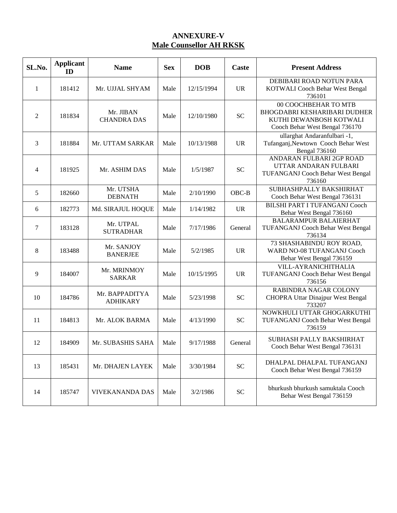# **ANNEXURE-V Male Counsellor AH RKSK**

| SL.No.         | <b>Applicant</b><br>ID | <b>Name</b>                       | <b>Sex</b> | <b>DOB</b> | <b>Caste</b> | <b>Present Address</b>                                                                                            |
|----------------|------------------------|-----------------------------------|------------|------------|--------------|-------------------------------------------------------------------------------------------------------------------|
| 1              | 181412                 | Mr. UJJAL SHYAM                   | Male       | 12/15/1994 | <b>UR</b>    | DEBIBARI ROAD NOTUN PARA<br>KOTWALI Cooch Behar West Bengal<br>736101                                             |
| $\overline{2}$ | 181834                 | Mr. JIBAN<br><b>CHANDRA DAS</b>   | Male       | 12/10/1980 | <b>SC</b>    | 00 COOCHBEHAR TO MTB<br>BHOGDABRI KESHARIBARI DUDHER<br>KUTHI DEWANBOSH KOTWALI<br>Cooch Behar West Bengal 736170 |
| 3              | 181884                 | Mr. UTTAM SARKAR                  | Male       | 10/13/1988 | <b>UR</b>    | ullarghat Andaranfulbari -1,<br>Tufanganj, Newtown Cooch Behar West<br><b>Bengal 736160</b>                       |
| 4              | 181925                 | Mr. ASHIM DAS                     | Male       | 1/5/1987   | <b>SC</b>    | ANDARAN FULBARI 2GP ROAD<br>UTTAR ANDARAN FULBARI<br>TUFANGANJ Cooch Behar West Bengal<br>736160                  |
| 5              | 182660                 | Mr. UTSHA<br><b>DEBNATH</b>       | Male       | 2/10/1990  | OBC-B        | SUBHASHPALLY BAKSHIRHAT<br>Cooch Behar West Bengal 736131                                                         |
| 6              | 182773                 | Md. SIRAJUL HOQUE                 | Male       | 1/14/1982  | <b>UR</b>    | <b>BILSHI PART I TUFANGANJ Cooch</b><br>Behar West Bengal 736160                                                  |
| 7              | 183128                 | Mr. UTPAL<br><b>SUTRADHAR</b>     | Male       | 7/17/1986  | General      | <b>BALARAMPUR BALAIERHAT</b><br>TUFANGANJ Cooch Behar West Bengal<br>736134                                       |
| 8              | 183488                 | Mr. SANJOY<br><b>BANERJEE</b>     | Male       | 5/2/1985   | <b>UR</b>    | 73 SHASHABINDU ROY ROAD,<br>WARD NO-08 TUFANGANJ Cooch<br>Behar West Bengal 736159                                |
| 9              | 184007                 | Mr. MRINMOY<br><b>SARKAR</b>      | Male       | 10/15/1995 | <b>UR</b>    | VILL-AYRANICHITHALIA<br>TUFANGANJ Cooch Behar West Bengal<br>736156                                               |
| 10             | 184786                 | Mr. BAPPADITYA<br><b>ADHIKARY</b> | Male       | 5/23/1998  | <b>SC</b>    | RABINDRA NAGAR COLONY<br>CHOPRA Uttar Dinajpur West Bengal<br>733207                                              |
| 11             | 184813                 | Mr. ALOK BARMA                    | Male       | 4/13/1990  | <b>SC</b>    | NOWKHULI UTTAR GHOGARKUTHI<br>TUFANGANJ Cooch Behar West Bengal<br>736159                                         |
| 12             | 184909                 | Mr. SUBASHIS SAHA                 | Male       | 9/17/1988  | General      | SUBHASH PALLY BAKSHIRHAT<br>Cooch Behar West Bengal 736131                                                        |
| 13             | 185431                 | Mr. DHAJEN LAYEK                  | Male       | 3/30/1984  | <b>SC</b>    | DHALPAL DHALPAL TUFANGANJ<br>Cooch Behar West Bengal 736159                                                       |
| 14             | 185747                 | <b>VIVEKANANDA DAS</b>            | Male       | 3/2/1986   | <b>SC</b>    | bhurkush bhurkush samuktala Cooch<br>Behar West Bengal 736159                                                     |